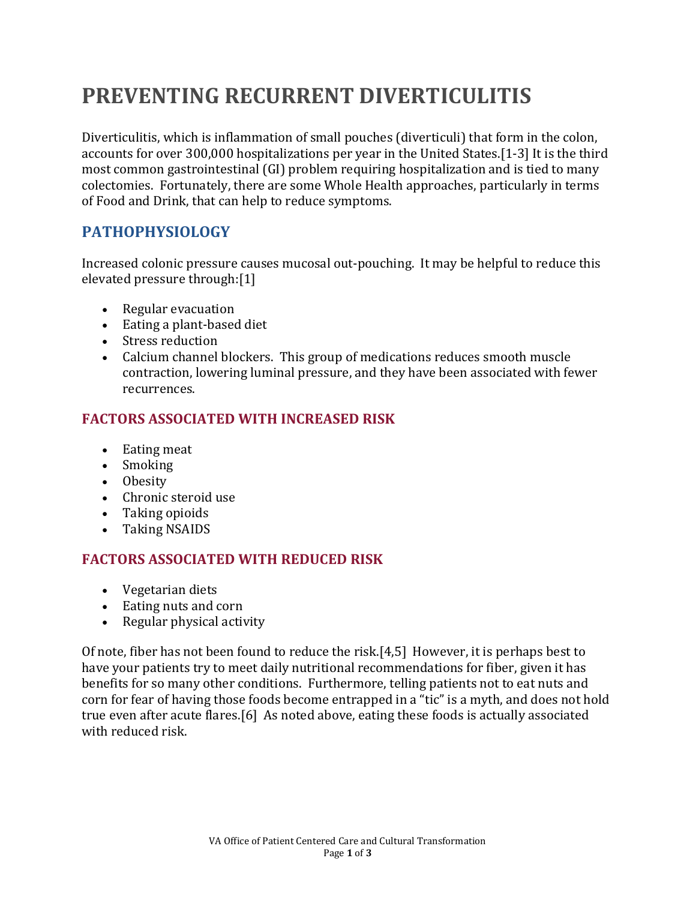# **PREVENTING RECURRENT DIVERTICULITIS**

Diverticulitis, which is inflammation of small pouches (diverticuli) that form in the colon, accounts for over 300,000 hospitalizations per year in the United States.[\[1-3\]](#page-1-0) It is the third most common gastrointestinal (GI) problem requiring hospitalization and is tied to many colectomies. Fortunately, there are some Whole Health approaches, particularly in terms of Food and Drink, that can help to reduce symptoms.

## **PATHOPHYSIOLOGY**

Increased colonic pressure causes mucosal out-pouching. It may be helpful to reduce this elevated pressure through:[\[1\]](#page-1-0)

- Regular evacuation
- Eating a plant-based diet
- Stress reduction
- Calcium channel blockers. This group of medications reduces smooth muscle contraction, lowering luminal pressure, and they have been associated with fewer recurrences.

#### **FACTORS ASSOCIATED WITH INCREASED RISK**

- Eating meat
- Smoking
- Obesity
- Chronic steroid use
- Taking opioids
- Taking NSAIDS

#### **FACTORS ASSOCIATED WITH REDUCED RISK**

- Vegetarian diets
- Eating nuts and corn
- Regular physical activity

Of note, fiber has not been found to reduce the risk.[\[4,](#page-1-1)[5\]](#page-1-2) However, it is perhaps best to have your patients try to meet daily nutritional recommendations for fiber, given it has benefits for so many other conditions. Furthermore, telling patients not to eat nuts and corn for fear of having those foods become entrapped in a "tic" is a myth, and does not hold true even after acute flares.[\[6\]](#page-1-3) As noted above, eating these foods is actually associated with reduced risk.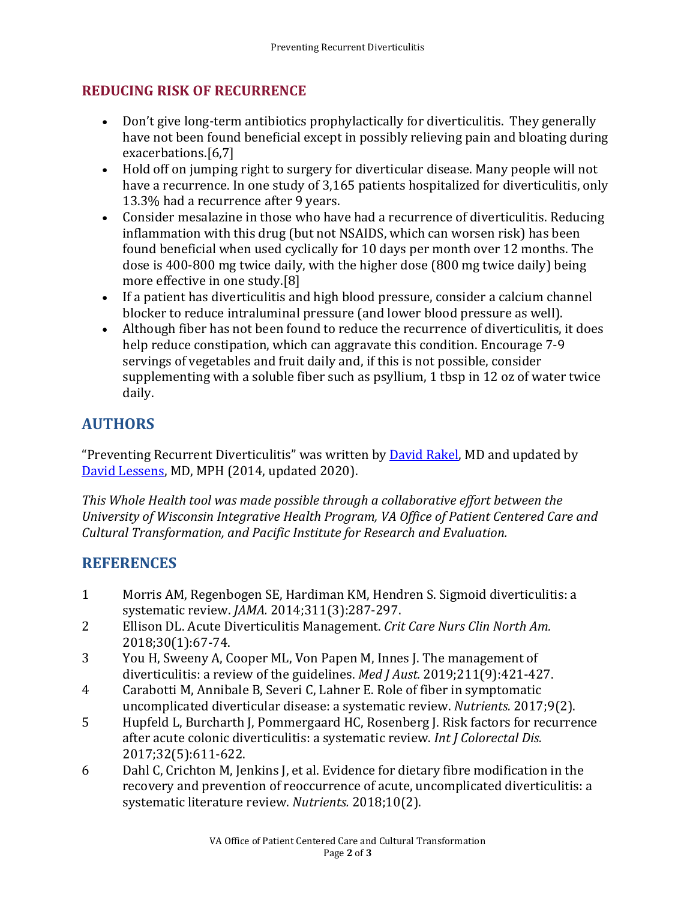#### **REDUCING RISK OF RECURRENCE**

- Don't give long-term antibiotics prophylactically for diverticulitis. They generally have not been found beneficial except in possibly relieving pain and bloating during exacerbations.[\[6](#page-1-3)[,7\]](#page-2-0)
- Hold off on jumping right to surgery for diverticular disease. Many people will not have a recurrence. In one study of 3,165 patients hospitalized for diverticulitis, only 13.3% had a recurrence after 9 years.
- Consider mesalazine in those who have had a recurrence of diverticulitis. Reducing inflammation with this drug (but not NSAIDS, which can worsen risk) has been found beneficial when used cyclically for 10 days per month over 12 months. The dose is 400-800 mg twice daily, with the higher dose (800 mg twice daily) being more effective in one study.[\[8\]](#page-2-1)
- If a patient has diverticulitis and high blood pressure, consider a calcium channel blocker to reduce intraluminal pressure (and lower blood pressure as well).
- Although fiber has not been found to reduce the recurrence of diverticulitis, it does help reduce constipation, which can aggravate this condition. Encourage 7-9 servings of vegetables and fruit daily and, if this is not possible, consider supplementing with a soluble fiber such as psyllium, 1 tbsp in 12 oz of water twice daily.

# **AUTHORS**

"Preventing Recurrent Diverticulitis" was written by **David Rakel**, MD and updated by [David Lessens,](https://wholehealth.wisc.edu/staff/lessens-david/) MD, MPH (2014, updated 2020).

*This Whole Health tool was made possible through a collaborative effort between the University of Wisconsin Integrative Health Program, VA Office of Patient Centered Care and Cultural Transformation, and Pacific Institute for Research and Evaluation.*

## **REFERENCES**

- <span id="page-1-0"></span>1 Morris AM, Regenbogen SE, Hardiman KM, Hendren S. Sigmoid diverticulitis: a systematic review. *JAMA.* 2014;311(3):287-297.
- 2 Ellison DL. Acute Diverticulitis Management. *Crit Care Nurs Clin North Am.*  2018;30(1):67-74.
- 3 You H, Sweeny A, Cooper ML, Von Papen M, Innes J. The management of diverticulitis: a review of the guidelines. *Med J Aust.* 2019;211(9):421-427.
- <span id="page-1-1"></span>4 Carabotti M, Annibale B, Severi C, Lahner E. Role of fiber in symptomatic uncomplicated diverticular disease: a systematic review. *Nutrients.* 2017;9(2).
- <span id="page-1-2"></span>5 Hupfeld L, Burcharth J, Pommergaard HC, Rosenberg J. Risk factors for recurrence after acute colonic diverticulitis: a systematic review. *Int J Colorectal Dis.*  2017;32(5):611-622.
- <span id="page-1-3"></span>6 Dahl C, Crichton M, Jenkins J, et al. Evidence for dietary fibre modification in the recovery and prevention of reoccurrence of acute, uncomplicated diverticulitis: a systematic literature review. *Nutrients.* 2018;10(2).